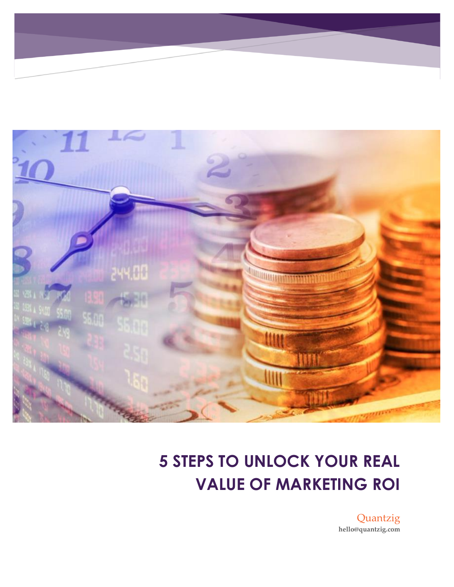

## **5 STEPS TO UNLOCK YOUR REAL VALUE OF MARKETING ROI**

Quantzig **hello@quantzig.com**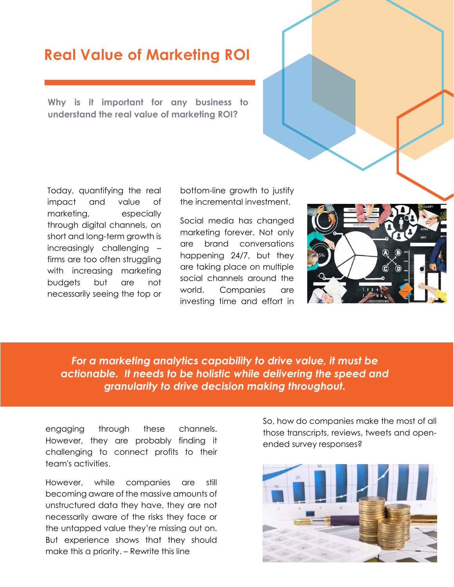### **Real Value of Marketing ROI**

**Why is it important for any business to understand the real value of marketing ROI?**

Today, quantifying the real impact and value of marketing, especially through digital channels, on short and long-term growth is increasingly challenging – firms are too often struggling with increasing marketing budgets but are not necessarily seeing the top or bottom-line growth to justify the incremental investment.

Social media has changed marketing forever. Not only are brand conversations happening 24/7, but they are taking place on multiple social channels around the world. Companies are investing time and effort in



*For a marketing analytics capability to drive value, it must be actionable. It needs to be holistic while delivering the speed and granularity to drive decision making throughout.*

engaging through these channels. However, they are probably finding it challenging to connect profits to their team's activities.

However, while companies are still becoming aware of the massive amounts of unstructured data they have, they are not necessarily aware of the risks they face or the untapped value they're missing out on. But experience shows that they should make this a priority. – Rewrite this line

So, how do companies make the most of all those transcripts, reviews, tweets and openended survey responses?

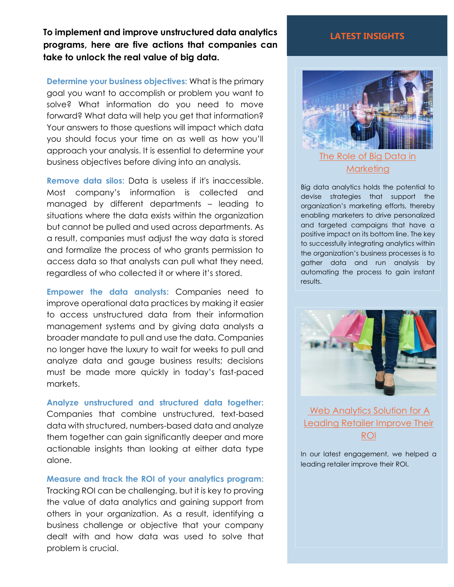**To implement and improve unstructured data analytics programs, here are five actions that companies can take to unlock the real value of big data.**

**Determine your business objectives:** What is the primary goal you want to accomplish or problem you want to solve? What information do you need to move forward? What data will help you get that information? Your answers to those questions will impact which data you should focus your time on as well as how you'll approach your analysis. It is essential to determine your business objectives before diving into an analysis.

**Remove data silos:** Data is useless if it's inaccessible. Most company's information is collected and managed by different departments – leading to situations where the data exists within the organization but cannot be pulled and used across departments. As a result, companies must adjust the way data is stored and formalize the process of who grants permission to access data so that analysts can pull what they need, regardless of who collected it or where it's stored.

**Empower the data analysts:** Companies need to improve operational data practices by making it easier to access unstructured data from their information management systems and by giving data analysts a broader mandate to pull and use the data. Companies no longer have the luxury to wait for weeks to pull and analyze data and gauge business results; decisions must be made more quickly in today's fast-paced markets.

**Analyze unstructured and structured data together:**  Companies that combine unstructured, text-based data with structured, numbers-based data and analyze them together can gain significantly deeper and more actionable insights than looking at either data type alone.

**Measure and track the ROI of your analytics program:** Tracking ROI can be challenging, but it is key to proving the value of data analytics and gaining support from others in your organization. As a result, identifying a business challenge or objective that your company dealt with and how data was used to solve that problem is crucial.

#### **LATEST INSIGHTS**



[Marketing](https://www.quantzig.com/blog/role-big-data-marketing?utm_source=QZwhitepaper&utm_medium=QZ&utm_campaign=whitepaper) 

Big data analytics holds the potential to devise strategies that support the organization's marketing efforts, thereby enabling marketers to drive personalized and targeted campaigns that have a positive impact on its bottom line. The key to successfully integrating analytics within the organization's business processes is to gather data and run analysis by automating the process to gain instant results.



[Web Analytics Solution](https://www.quantzig.com/content/web-analytics-improves-roi?utm_source=QZwhitepaper&utm_medium=QZ&utm_campaign=whitepaper) for A Leading Retailer Improve Their [ROI](https://www.quantzig.com/content/web-analytics-improves-roi?utm_source=QZwhitepaper&utm_medium=QZ&utm_campaign=whitepaper)

In our latest engagement, we helped a leading retailer improve their ROI.